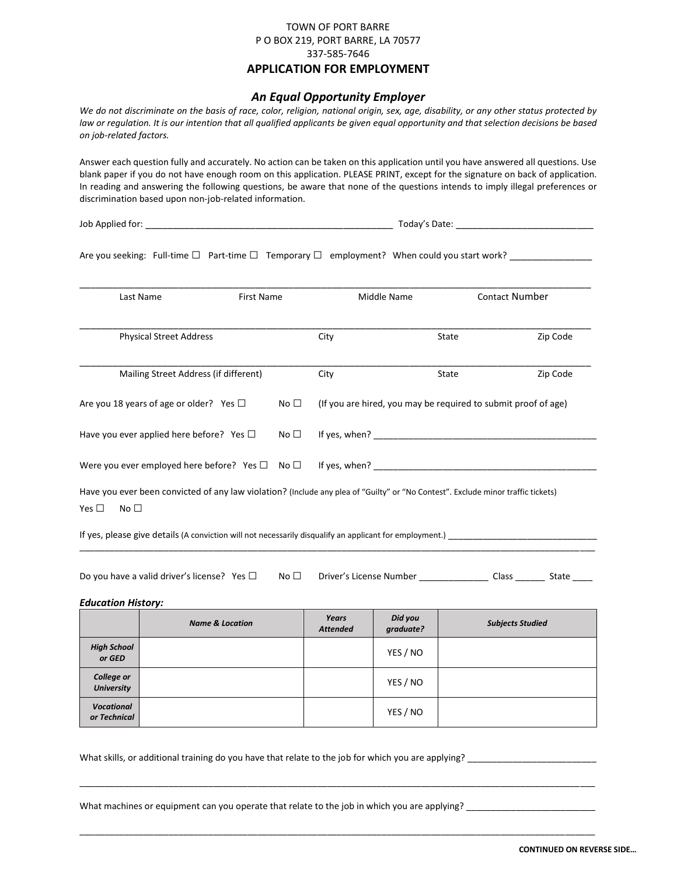## TOWN OF PORT BARRE P O BOX 219, PORT BARRE, LA 70577 337-585-7646 **APPLICATION FOR EMPLOYMENT**

# *An Equal Opportunity Employer*

*We do not discriminate on the basis of race, color, religion, national origin, sex, age, disability, or any other status protected by*  law or regulation. It is our intention that all qualified applicants be given equal opportunity and that selection decisions be based *on job-related factors.*

Answer each question fully and accurately. No action can be taken on this application until you have answered all questions. Use blank paper if you do not have enough room on this application. PLEASE PRINT, except for the signature on back of application. In reading and answering the following questions, be aware that none of the questions intends to imply illegal preferences or discrimination based upon non-job-related information.

Job Applied for: \_\_\_\_\_\_\_\_\_\_\_\_\_\_\_\_\_\_\_\_\_\_\_\_\_\_\_\_\_\_\_\_\_\_\_\_\_\_\_\_\_\_\_\_\_ Today's Date: \_\_\_\_\_\_\_\_\_\_\_\_\_\_\_\_\_\_\_\_\_\_\_\_\_

Are you seeking: Full-time □ Part-time □ Temporary □ employment? When could you start work? \_\_\_\_\_\_\_\_\_\_\_\_\_\_\_\_\_\_

| Last Name                                                                                                                                                      | First Name   | Middle Name |                                                                | <b>Contact Number</b> |  |
|----------------------------------------------------------------------------------------------------------------------------------------------------------------|--------------|-------------|----------------------------------------------------------------|-----------------------|--|
| <b>Physical Street Address</b>                                                                                                                                 |              | City        | State                                                          | Zip Code              |  |
| Mailing Street Address (if different)                                                                                                                          |              | City        | State                                                          | Zip Code              |  |
| Are you 18 years of age or older? Yes $\Box$                                                                                                                   | No $\square$ |             | (If you are hired, you may be required to submit proof of age) |                       |  |
| Have you ever applied here before? Yes $\square$                                                                                                               | No $\Box$    |             | If yes, when?                                                  |                       |  |
| Were you ever employed here before? Yes $\square$ No $\square$ If yes, when?                                                                                   |              |             |                                                                |                       |  |
| Have you ever been convicted of any law violation? (Include any plea of "Guilty" or "No Contest". Exclude minor traffic tickets)<br>Yes $\Box$<br>No $\square$ |              |             |                                                                |                       |  |
| If yes, please give details (A conviction will not necessarily disqualify an applicant for employment.) _                                                      |              |             |                                                                |                       |  |

Do you have a valid driver's license? Yes □ No □ Driver's License Number \_\_\_\_\_\_\_\_\_\_\_\_\_\_\_\_ Class \_\_\_\_\_\_\_ State \_\_\_\_\_

#### *Education History:*

|                                        | <b>Name &amp; Location</b> | Years<br><b>Attended</b> | Did you<br>graduate? | <b>Subjects Studied</b> |
|----------------------------------------|----------------------------|--------------------------|----------------------|-------------------------|
| <b>High School</b><br>or GED           |                            |                          | YES / NO             |                         |
| <b>College or</b><br><b>University</b> |                            |                          | YES / NO             |                         |
| <b>Vocational</b><br>or Technical      |                            |                          | YES / NO             |                         |

\_\_\_\_\_\_\_\_\_\_\_\_\_\_\_\_\_\_\_\_\_\_\_\_\_\_\_\_\_\_\_\_\_\_\_\_\_\_\_\_\_\_\_\_\_\_\_\_\_\_\_\_\_\_\_\_\_\_\_\_\_\_\_\_\_\_\_\_\_\_\_\_\_\_\_\_\_\_\_\_\_\_\_\_\_\_\_\_\_\_\_\_\_\_\_\_\_\_\_\_\_\_\_\_

\_\_\_\_\_\_\_\_\_\_\_\_\_\_\_\_\_\_\_\_\_\_\_\_\_\_\_\_\_\_\_\_\_\_\_\_\_\_\_\_\_\_\_\_\_\_\_\_\_\_\_\_\_\_\_\_\_\_\_\_\_\_\_\_\_\_\_\_\_\_\_\_\_\_\_\_\_\_\_\_\_\_\_\_\_\_\_\_\_\_\_\_\_\_\_\_\_\_\_\_\_\_\_\_

What skills, or additional training do you have that relate to the job for which you are applying?

What machines or equipment can you operate that relate to the job in which you are applying? \_\_\_\_\_\_\_\_\_\_\_\_\_\_\_\_\_\_\_\_\_\_\_\_\_\_